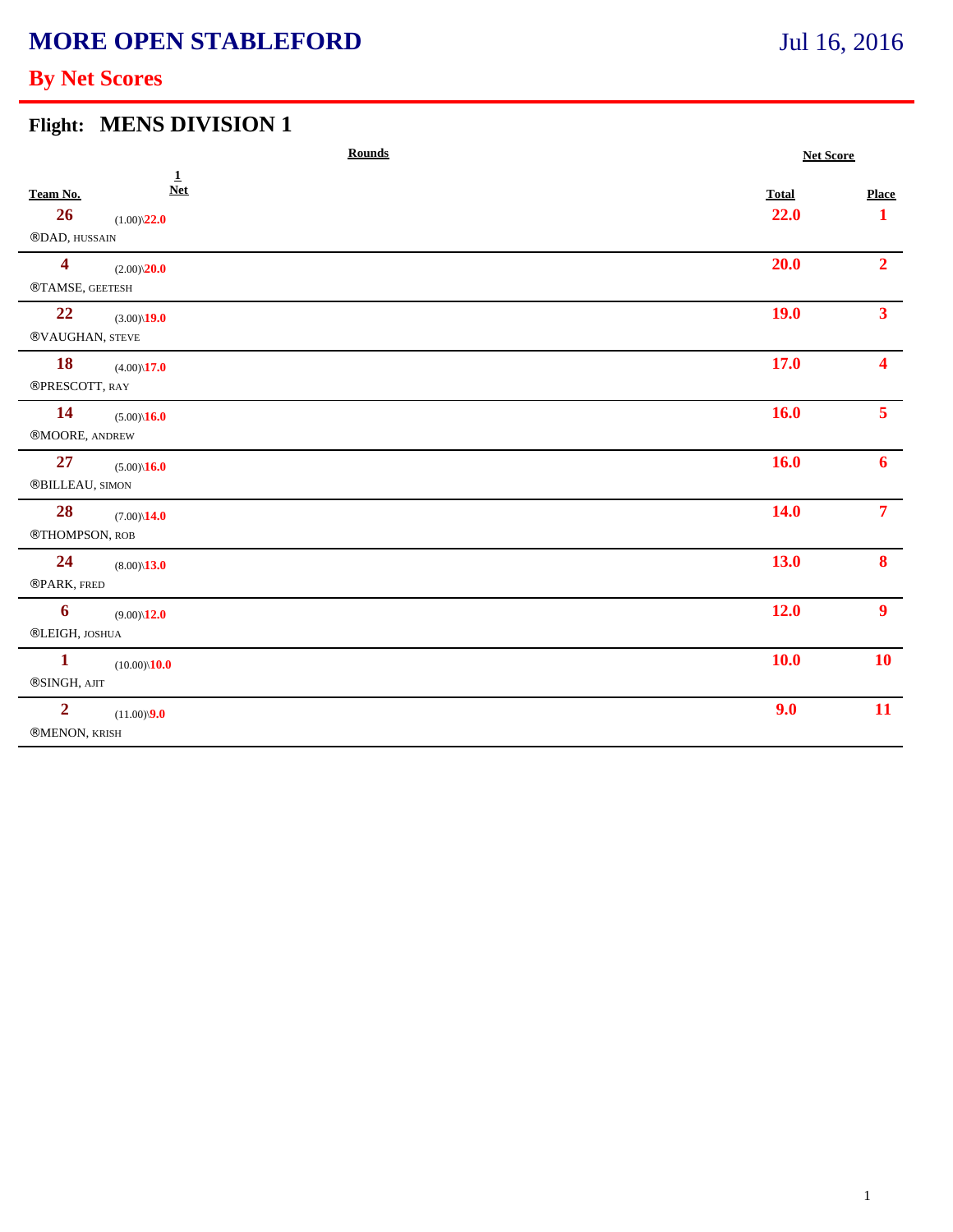# **MORE OPEN STABLEFORD**

# Jul 16, 2016

## **By Net Scores**

#### **Flight: MENS DIVISION 1**

|                         | <b>Rounds</b>             |  |              | <b>Net Score</b> |  |
|-------------------------|---------------------------|--|--------------|------------------|--|
| Team No.                | $\mathbf 1$<br><b>Net</b> |  | <b>Total</b> | <b>Place</b>     |  |
| 26                      | $(1.00)\sqrt{22.0}$       |  | 22.0         | $\mathbf{1}$     |  |
| ®DAD, HUSSAIN           |                           |  |              |                  |  |
| $\overline{\mathbf{4}}$ | $(2.00)\sqrt{20.0}$       |  | 20.0         | 2 <sup>1</sup>   |  |
| ®TAMSE, GEETESH         |                           |  |              |                  |  |
| 22                      | $(3.00)\$ <b>19.0</b>     |  | <b>19.0</b>  | 3 <sup>1</sup>   |  |
| ®VAUGHAN, STEVE         |                           |  |              |                  |  |
| <b>18</b>               | $(4.00)\sqrt{17.0}$       |  | 17.0         | 4                |  |
| ®PRESCOTT, RAY          |                           |  |              |                  |  |
| <b>14</b>               | $(5.00)\sqrt{16.0}$       |  | <b>16.0</b>  | 5 <sup>5</sup>   |  |
| ®MOORE, ANDREW          |                           |  |              |                  |  |
| 27                      | $(5.00)\sqrt{16.0}$       |  | <b>16.0</b>  | 6 <sup>1</sup>   |  |
| ®BILLEAU, SIMON         |                           |  |              |                  |  |
| <b>28</b>               | $(7.00)\$ <b>14.0</b>     |  | 14.0         | 7 <sup>7</sup>   |  |
| ®THOMPSON, ROB          |                           |  |              |                  |  |
| 24                      | $(8.00)\$ <b>13.0</b>     |  | 13.0         | 8                |  |
| ®PARK, FRED             |                           |  |              |                  |  |
| 6                       | $(9.00)\$ <b>12.0</b>     |  | 12.0         | 9 <sup>°</sup>   |  |
| ®LEIGH, JOSHUA          |                           |  |              |                  |  |
| $\mathbf{1}$            | $(10.00)\$ <b>10.0</b>    |  | <b>10.0</b>  | <b>10</b>        |  |
| ®SINGH, AJIT            |                           |  |              |                  |  |
| $\overline{2}$          | $(11.00)\sqrt{9.0}$       |  | 9.0          | <b>11</b>        |  |
| ®MENON, KRISH           |                           |  |              |                  |  |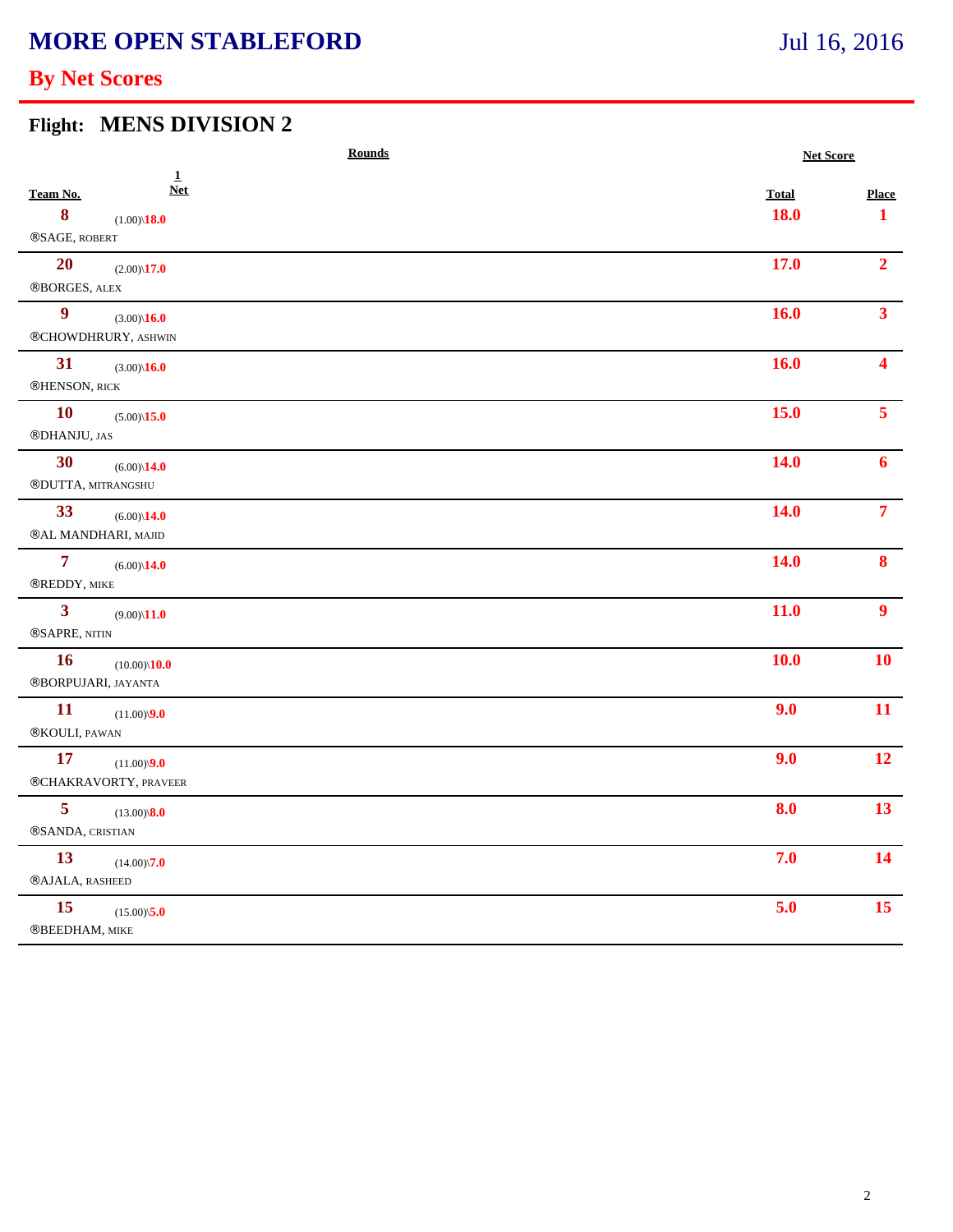# **MORE OPEN STABLEFORD**

# Jul 16, 2016

## **By Net Scores**

#### **Flight: MENS DIVISION 2**

|                                | <b>Rounds</b>                                       |                      | <b>Net Score</b>             |  |
|--------------------------------|-----------------------------------------------------|----------------------|------------------------------|--|
| Team No.<br>8<br>®SAGE, ROBERT | $\mathbf{1}$<br><b>Net</b><br>$(1.00)\$ <b>18.0</b> | <b>Total</b><br>18.0 | <b>Place</b><br>$\mathbf{1}$ |  |
| <b>20</b><br>®BORGES, ALEX     | $(2.00)\$ <b>17.0</b>                               | 17.0                 | 2 <sup>1</sup>               |  |
| $\boldsymbol{9}$               | $(3.00)\sqrt{16.0}$<br>®CHOWDHRURY, ASHWIN          | 16.0                 | 3 <sup>1</sup>               |  |
| 31<br>®HENSON, RICK            | $(3.00)\sqrt{16.0}$                                 | 16.0                 |                              |  |
| <b>10</b><br>®DHANJU, JAS      | $(5.00)\sqrt{15.0}$                                 | 15.0                 | 5 <sup>1</sup>               |  |
| 30                             | $(6.00)\$ <b>14.0</b><br>®DUTTA, MITRANGSHU         | <b>14.0</b>          | 6                            |  |
| 33                             | $(6.00)\$ <b>14.0</b><br>®AL MANDHARI, MAJID        | 14.0                 | $\overline{7}$               |  |
| $\overline{7}$<br>®REDDY, MIKE | $(6.00)\$ <b>14.0</b>                               | <b>14.0</b>          | 8                            |  |
| $\mathbf{3}$<br>®SAPRE, NITIN  | $(9.00)\$ <b>11.0</b>                               | 11.0                 | $\boldsymbol{9}$             |  |
| <b>16</b>                      | $(10.00)\sqrt{10.0}$<br>®BORPUJARI, JAYANTA         | 10.0                 | <b>10</b>                    |  |
| <b>11</b><br>®KOULI, PAWAN     | $(11.00)\sqrt{9.0}$                                 | 9.0                  | 11                           |  |
| <b>17</b>                      | $(11.00)\sqrt{9.0}$<br>®CHAKRAVORTY, PRAVEER        | 9.0                  | 12                           |  |
| 5<br>®SANDA, CRISTIAN          | $(13.00)\sqrt{8.0}$                                 | 8.0                  | 13 <sup>°</sup>              |  |
| 13<br><b>®AJALA, RASHEED</b>   | $(14.00)\sqrt{7.0}$                                 | 7.0                  | 14                           |  |
| 15<br>®BEEDHAM, MIKE           | $(15.00)\sqrt{5.0}$                                 | 5.0                  | 15                           |  |